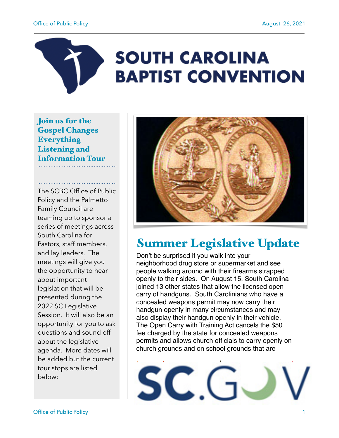#### Office of Public Policy **August 26, 2021**

# **SOUTH CAROLINA BAPTIST CONVENTION**

Join us for the Gospel Changes Everything Listening and Information Tour

The SCBC Office of Public Policy and the Palmetto Family Council are teaming up to sponsor a series of meetings across South Carolina for Pastors, staff members, and lay leaders. The meetings will give you the opportunity to hear about important legislation that will be presented during the 2022 SC Legislative Session. It will also be an opportunity for you to ask questions and sound off about the legislative agenda. More dates will be added but the current tour stops are listed below:



# Summer Legislative Update

Don't be surprised if you walk into your neighborhood drug store or supermarket and see people walking around with their firearms strapped openly to their sides. On August 15, South Carolina joined 13 other states that allow the licensed open carry of handguns. South Carolinians who have a concealed weapons permit may now carry their handgun openly in many circumstances and may also display their handgun openly in their vehicle. The Open Carry with Training Act cancels the \$50 fee charged by the state for concealed weapons permits and allows church officials to carry openly on church grounds and on school grounds that are

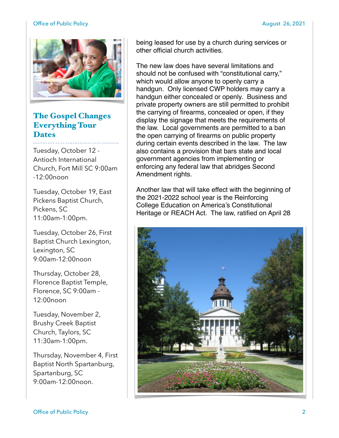#### Office of Public Policy **August 26, 2021**



## The Gospel Changes Everything Tour **Dates**

Tuesday, October 12 - Antioch International Church, Fort Mill SC 9:00am  $-12:00$ noon

Tuesday, October 19, East Pickens Baptist Church, Pickens, SC 11:00am-1:00pm.

Tuesday, October 26, First Baptist Church Lexington, Lexington, SC 9:00am-12:00noon

Thursday, October 28, Florence Baptist Temple, Florence, SC 9:00am - 12:00noon

Tuesday, November 2, Brushy Creek Baptist Church, Taylors, SC 11:30am-1:00pm.

Thursday, November 4, First Baptist North Spartanburg, Spartanburg, SC 9:00am-12:00noon.

being leased for use by a church during services or other official church activities.

The new law does have several limitations and should not be confused with "constitutional carry," which would allow anyone to openly carry a handgun. Only licensed CWP holders may carry a handgun either concealed or openly. Business and private property owners are still permitted to prohibit the carrying of firearms, concealed or open, if they display the signage that meets the requirements of the law. Local governments are permitted to a ban the open carrying of firearms on public property during certain events described in the law. The law also contains a provision that bars state and local government agencies from implementing or enforcing any federal law that abridges Second Amendment rights.

Another law that will take effect with the beginning of the 2021-2022 school year is the Reinforcing College Education on America's Constitutional Heritage or REACH Act. The law, ratified on April 28

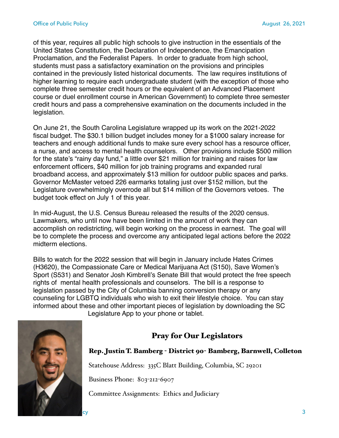of this year, requires all public high schools to give instruction in the essentials of the United States Constitution, the Declaration of Independence, the Emancipation Proclamation, and the Federalist Papers. In order to graduate from high school, students must pass a satisfactory examination on the provisions and principles contained in the previously listed historical documents. The law requires institutions of higher learning to require each undergraduate student (with the exception of those who complete three semester credit hours or the equivalent of an Advanced Placement course or duel enrollment course in American Government) to complete three semester credit hours and pass a comprehensive examination on the documents included in the legislation.

On June 21, the South Carolina Legislature wrapped up its work on the 2021-2022 fiscal budget. The \$30.1 billion budget includes money for a \$1000 salary increase for teachers and enough additional funds to make sure every school has a resource officer, a nurse, and access to mental health counselors. Other provisions include \$500 million for the state's "rainy day fund," a little over \$21 million for training and raises for law enforcement officers, \$40 million for job training programs and expanded rural broadband access, and approximately \$13 million for outdoor public spaces and parks. Governor McMaster vetoed 226 earmarks totaling just over \$152 million, but the Legislature overwhelmingly overrode all but \$14 million of the Governors vetoes. The budget took effect on July 1 of this year.

In mid-August, the U.S. Census Bureau released the results of the 2020 census. Lawmakers, who until now have been limited in the amount of work they can accomplish on redistricting, will begin working on the process in earnest. The goal will be to complete the process and overcome any anticipated legal actions before the 2022 midterm elections.

Bills to watch for the 2022 session that will begin in January include Hates Crimes (H3620), the Compassionate Care or Medical Marijuana Act (S150), Save Women's Sport (S531) and Senator Josh Kimbrell's Senate Bill that would protect the free speech rights of mental health professionals and counselors. The bill is a response to legislation passed by the City of Columbia banning conversion therapy or any counseling for LGBTQ individuals who wish to exit their lifestyle choice. You can stay informed about these and other important pieces of legislation by downloading the SC





# Pray for Our Legislators

#### Rep. Justin T. Bamberg - District 90- Bamberg, Barnwell, Colleton

Statehouse Address: 335C Blatt Building, Columbia, SC 29201

Business Phone: 803-212-6907

Committee Assignments: Ethics and Judiciary